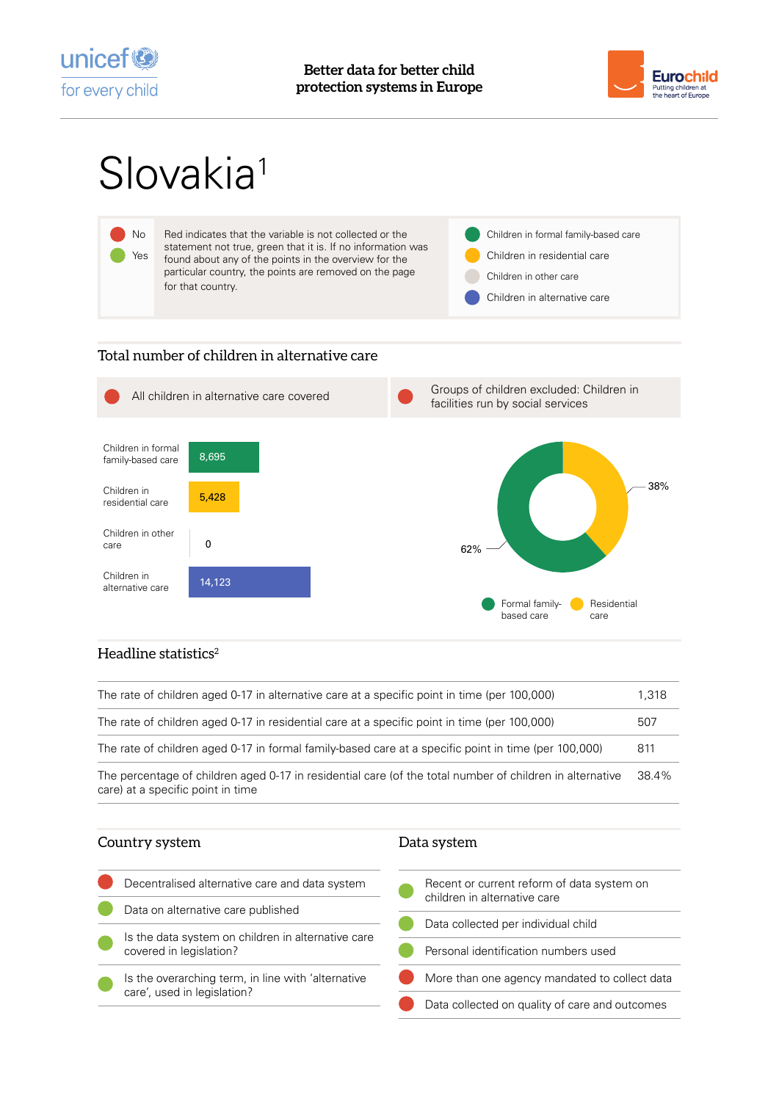



# Slovakia<sup>1</sup>



## Total number of children in alternative care



## Headline statistics $2$

| The rate of children aged 0-17 in alternative care at a specific point in time (per 100,000)                                                  | 1.318 |
|-----------------------------------------------------------------------------------------------------------------------------------------------|-------|
| The rate of children aged 0-17 in residential care at a specific point in time (per 100,000)                                                  | 507   |
| The rate of children aged 0-17 in formal family-based care at a specific point in time (per 100,000)                                          | 811   |
| The percentage of children aged 0-17 in residential care (of the total number of children in alternative<br>care) at a specific point in time | 38.4% |

### Country system

#### Data system

| Decentralised alternative care and data system                                    | Recent or current reform of data system on<br>children in alternative care |
|-----------------------------------------------------------------------------------|----------------------------------------------------------------------------|
| Data on alternative care published                                                |                                                                            |
|                                                                                   | Data collected per individual child                                        |
| Is the data system on children in alternative care                                |                                                                            |
| covered in legislation?                                                           | Personal identification numbers used                                       |
| Is the overarching term, in line with 'alternative<br>care', used in legislation? | More than one agency mandated to collect data                              |
|                                                                                   | Data collected on quality of care and outcomes                             |
|                                                                                   |                                                                            |